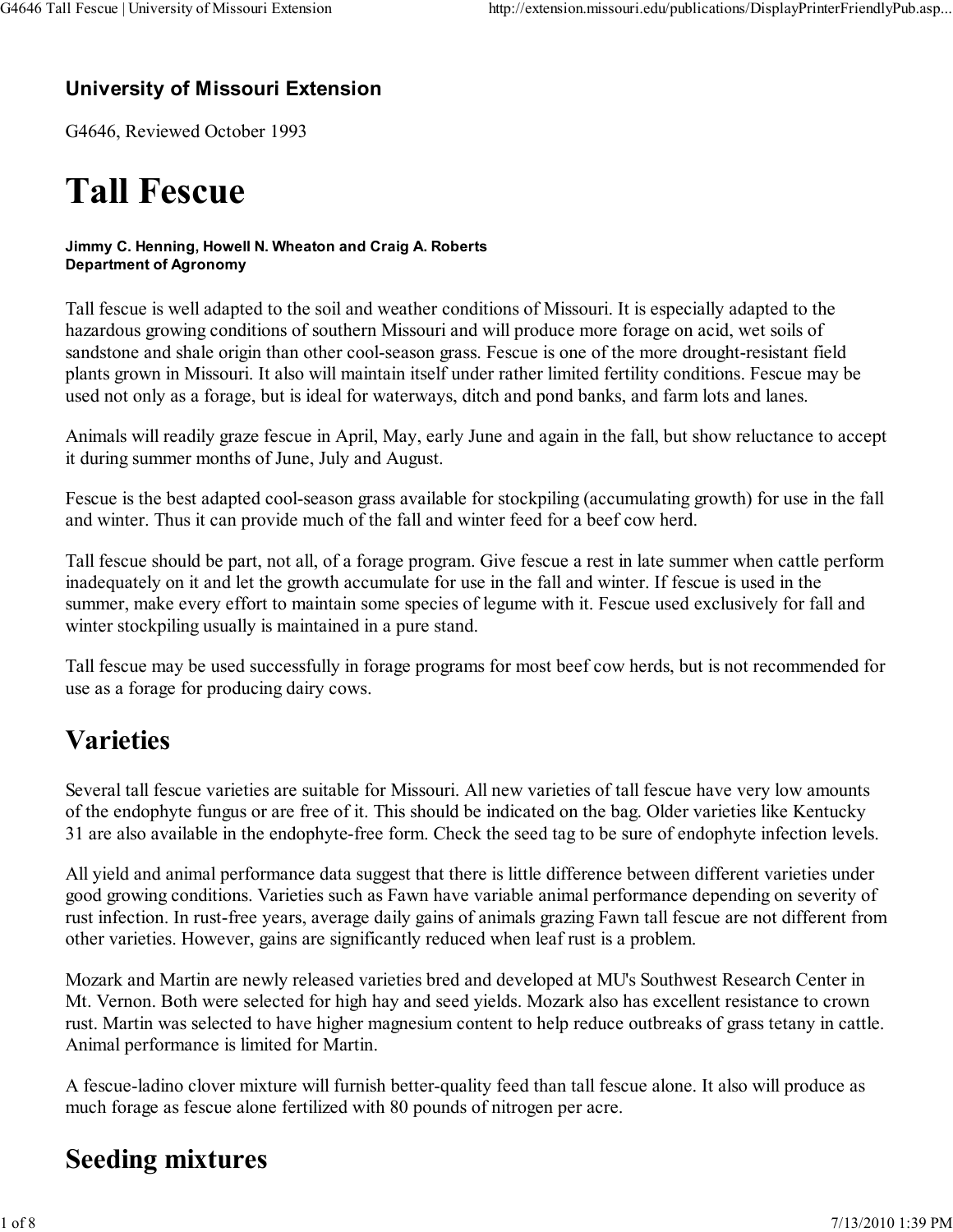#### University of Missouri Extension

G4646, Reviewed October 1993

# Tall Fescue

#### Jimmy C. Henning, Howell N. Wheaton and Craig A. Roberts Department of Agronomy

Tall fescue is well adapted to the soil and weather conditions of Missouri. It is especially adapted to the hazardous growing conditions of southern Missouri and will produce more forage on acid, wet soils of sandstone and shale origin than other cool-season grass. Fescue is one of the more drought-resistant field plants grown in Missouri. It also will maintain itself under rather limited fertility conditions. Fescue may be used not only as a forage, but is ideal for waterways, ditch and pond banks, and farm lots and lanes.

Animals will readily graze fescue in April, May, early June and again in the fall, but show reluctance to accept it during summer months of June, July and August.

Fescue is the best adapted cool-season grass available for stockpiling (accumulating growth) for use in the fall and winter. Thus it can provide much of the fall and winter feed for a beef cow herd.

Tall fescue should be part, not all, of a forage program. Give fescue a rest in late summer when cattle perform inadequately on it and let the growth accumulate for use in the fall and winter. If fescue is used in the summer, make every effort to maintain some species of legume with it. Fescue used exclusively for fall and winter stockpiling usually is maintained in a pure stand.

Tall fescue may be used successfully in forage programs for most beef cow herds, but is not recommended for use as a forage for producing dairy cows.

# Varieties

Several tall fescue varieties are suitable for Missouri. All new varieties of tall fescue have very low amounts of the endophyte fungus or are free of it. This should be indicated on the bag. Older varieties like Kentucky 31 are also available in the endophyte-free form. Check the seed tag to be sure of endophyte infection levels.

All yield and animal performance data suggest that there is little difference between different varieties under good growing conditions. Varieties such as Fawn have variable animal performance depending on severity of rust infection. In rust-free years, average daily gains of animals grazing Fawn tall fescue are not different from other varieties. However, gains are significantly reduced when leaf rust is a problem.

Mozark and Martin are newly released varieties bred and developed at MU's Southwest Research Center in Mt. Vernon. Both were selected for high hay and seed yields. Mozark also has excellent resistance to crown rust. Martin was selected to have higher magnesium content to help reduce outbreaks of grass tetany in cattle. Animal performance is limited for Martin.

A fescue-ladino clover mixture will furnish better-quality feed than tall fescue alone. It also will produce as much forage as fescue alone fertilized with 80 pounds of nitrogen per acre.

# Seeding mixtures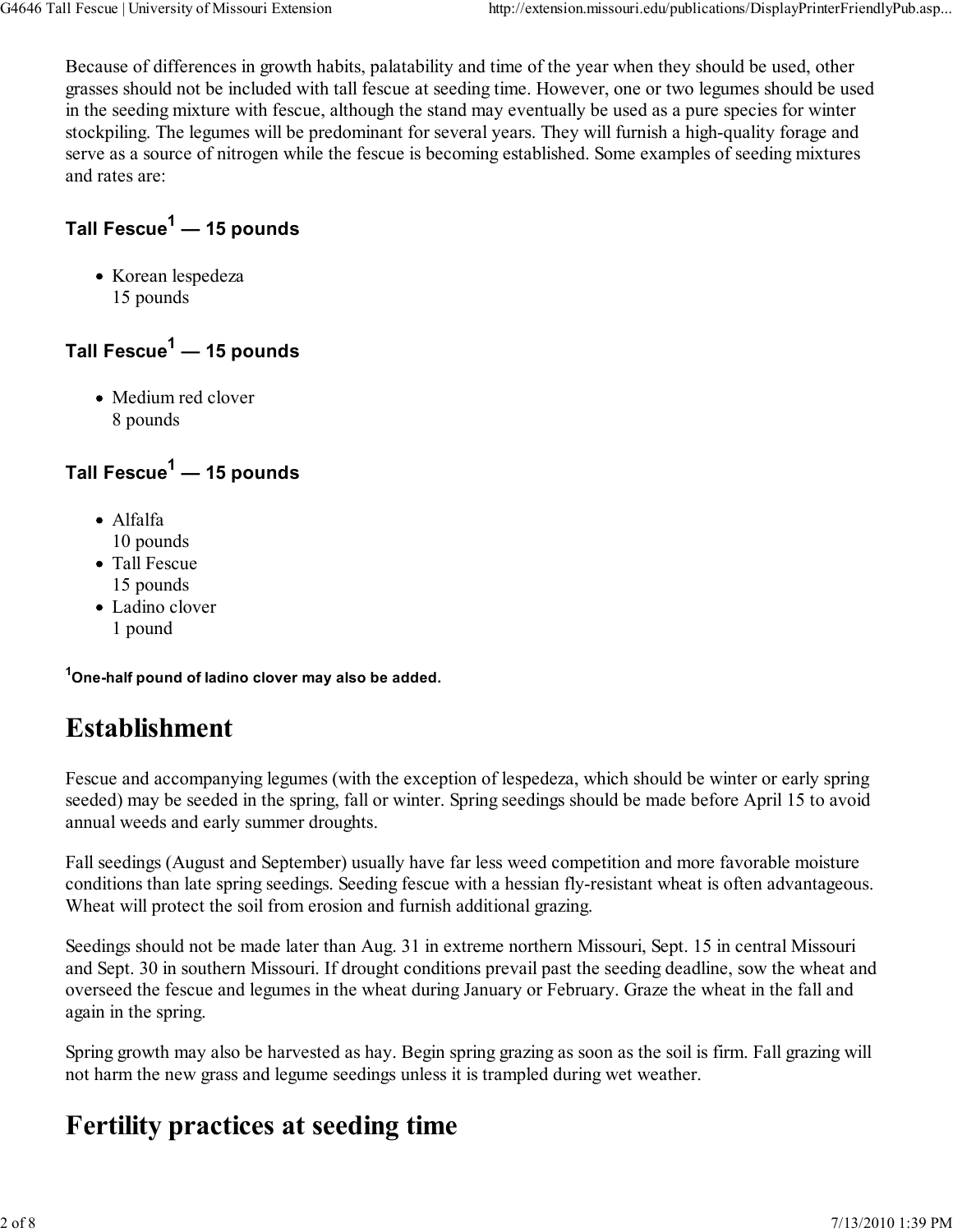Because of differences in growth habits, palatability and time of the year when they should be used, other grasses should not be included with tall fescue at seeding time. However, one or two legumes should be used in the seeding mixture with fescue, although the stand may eventually be used as a pure species for winter stockpiling. The legumes will be predominant for several years. They will furnish a high-quality forage and serve as a source of nitrogen while the fescue is becoming established. Some examples of seeding mixtures and rates are:

### Tall Fescue<sup>1</sup> — 15 pounds

• Korean lespedeza 15 pounds

#### Tall Fescue<sup>1</sup> — 15 pounds

• Medium red clover 8 pounds

#### Tall Fescue<sup>1</sup> — 15 pounds

- Alfalfa 10 pounds
- Tall Fescue 15 pounds
- Ladino clover
	- 1 pound

<sup>1</sup>One-half pound of ladino clover may also be added.

# Establishment

Fescue and accompanying legumes (with the exception of lespedeza, which should be winter or early spring seeded) may be seeded in the spring, fall or winter. Spring seedings should be made before April 15 to avoid annual weeds and early summer droughts.

Fall seedings (August and September) usually have far less weed competition and more favorable moisture conditions than late spring seedings. Seeding fescue with a hessian fly-resistant wheat is often advantageous. Wheat will protect the soil from erosion and furnish additional grazing.

Seedings should not be made later than Aug. 31 in extreme northern Missouri, Sept. 15 in central Missouri and Sept. 30 in southern Missouri. If drought conditions prevail past the seeding deadline, sow the wheat and overseed the fescue and legumes in the wheat during January or February. Graze the wheat in the fall and again in the spring.

Spring growth may also be harvested as hay. Begin spring grazing as soon as the soil is firm. Fall grazing will not harm the new grass and legume seedings unless it is trampled during wet weather.

# Fertility practices at seeding time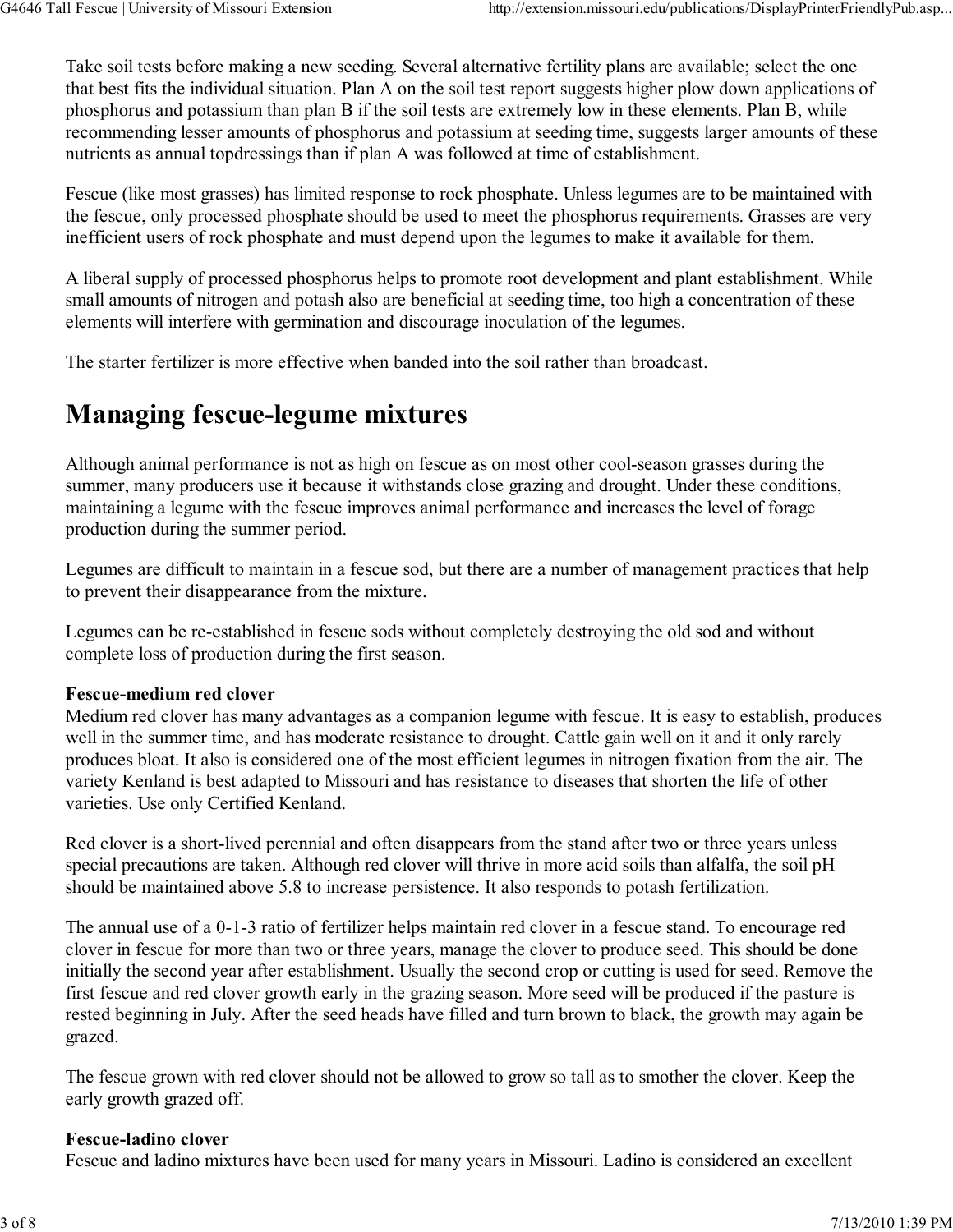Take soil tests before making a new seeding. Several alternative fertility plans are available; select the one that best fits the individual situation. Plan A on the soil test report suggests higher plow down applications of phosphorus and potassium than plan B if the soil tests are extremely low in these elements. Plan B, while recommending lesser amounts of phosphorus and potassium at seeding time, suggests larger amounts of these nutrients as annual topdressings than if plan A was followed at time of establishment.

Fescue (like most grasses) has limited response to rock phosphate. Unless legumes are to be maintained with the fescue, only processed phosphate should be used to meet the phosphorus requirements. Grasses are very inefficient users of rock phosphate and must depend upon the legumes to make it available for them.

A liberal supply of processed phosphorus helps to promote root development and plant establishment. While small amounts of nitrogen and potash also are beneficial at seeding time, too high a concentration of these elements will interfere with germination and discourage inoculation of the legumes.

The starter fertilizer is more effective when banded into the soil rather than broadcast.

# Managing fescue-legume mixtures

Although animal performance is not as high on fescue as on most other cool-season grasses during the summer, many producers use it because it withstands close grazing and drought. Under these conditions, maintaining a legume with the fescue improves animal performance and increases the level of forage production during the summer period.

Legumes are difficult to maintain in a fescue sod, but there are a number of management practices that help to prevent their disappearance from the mixture.

Legumes can be re-established in fescue sods without completely destroying the old sod and without complete loss of production during the first season.

#### Fescue-medium red clover

Medium red clover has many advantages as a companion legume with fescue. It is easy to establish, produces well in the summer time, and has moderate resistance to drought. Cattle gain well on it and it only rarely produces bloat. It also is considered one of the most efficient legumes in nitrogen fixation from the air. The variety Kenland is best adapted to Missouri and has resistance to diseases that shorten the life of other varieties. Use only Certified Kenland.

Red clover is a short-lived perennial and often disappears from the stand after two or three years unless special precautions are taken. Although red clover will thrive in more acid soils than alfalfa, the soil pH should be maintained above 5.8 to increase persistence. It also responds to potash fertilization.

The annual use of a 0-1-3 ratio of fertilizer helps maintain red clover in a fescue stand. To encourage red clover in fescue for more than two or three years, manage the clover to produce seed. This should be done initially the second year after establishment. Usually the second crop or cutting is used for seed. Remove the first fescue and red clover growth early in the grazing season. More seed will be produced if the pasture is rested beginning in July. After the seed heads have filled and turn brown to black, the growth may again be grazed.

The fescue grown with red clover should not be allowed to grow so tall as to smother the clover. Keep the early growth grazed off.

#### Fescue-ladino clover

Fescue and ladino mixtures have been used for many years in Missouri. Ladino is considered an excellent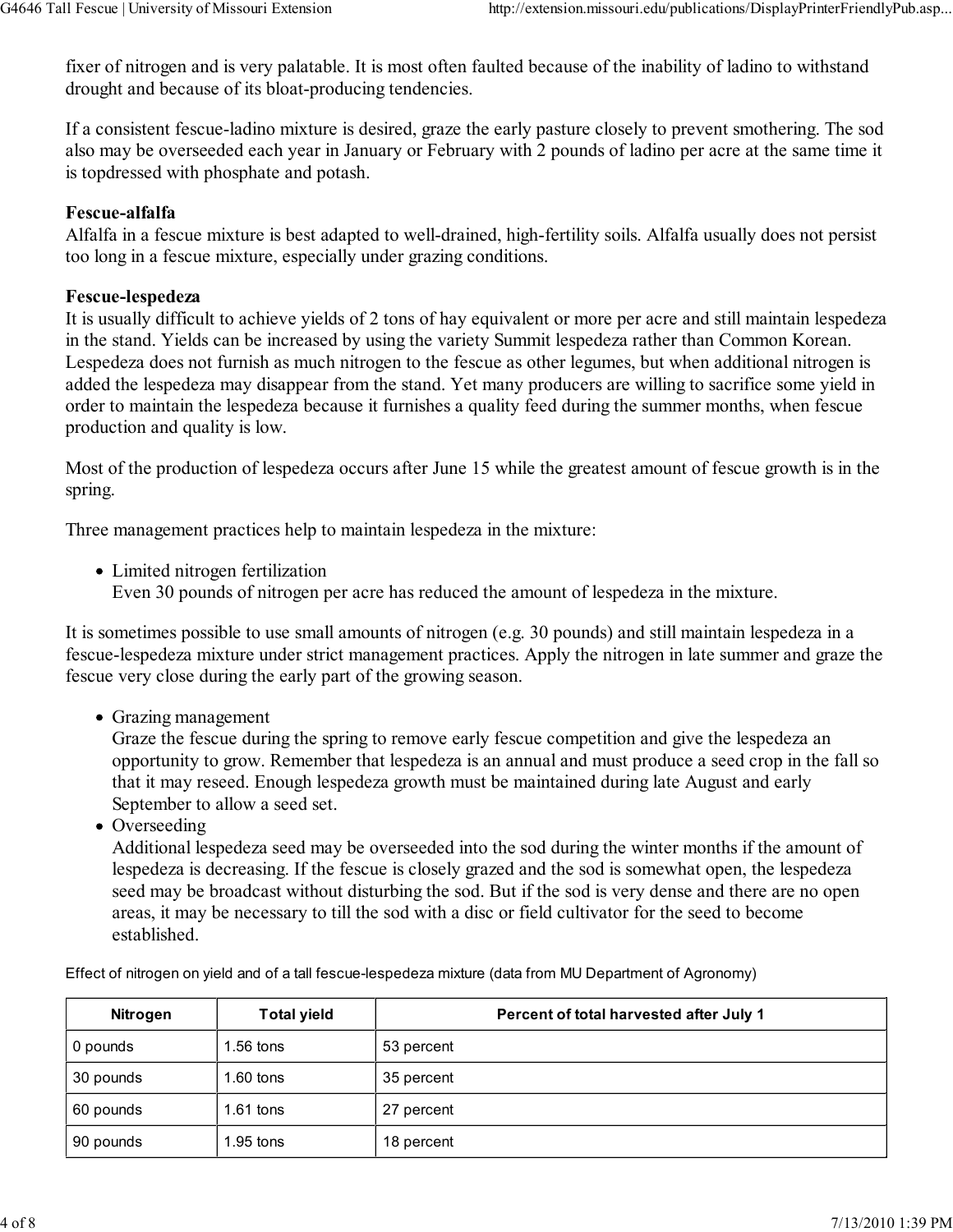fixer of nitrogen and is very palatable. It is most often faulted because of the inability of ladino to withstand drought and because of its bloat-producing tendencies.

If a consistent fescue-ladino mixture is desired, graze the early pasture closely to prevent smothering. The sod also may be overseeded each year in January or February with 2 pounds of ladino per acre at the same time it is topdressed with phosphate and potash.

#### Fescue-alfalfa

Alfalfa in a fescue mixture is best adapted to well-drained, high-fertility soils. Alfalfa usually does not persist too long in a fescue mixture, especially under grazing conditions.

#### Fescue-lespedeza

It is usually difficult to achieve yields of 2 tons of hay equivalent or more per acre and still maintain lespedeza in the stand. Yields can be increased by using the variety Summit lespedeza rather than Common Korean. Lespedeza does not furnish as much nitrogen to the fescue as other legumes, but when additional nitrogen is added the lespedeza may disappear from the stand. Yet many producers are willing to sacrifice some yield in order to maintain the lespedeza because it furnishes a quality feed during the summer months, when fescue production and quality is low.

Most of the production of lespedeza occurs after June 15 while the greatest amount of fescue growth is in the spring.

Three management practices help to maintain lespedeza in the mixture:

Limited nitrogen fertilization Even 30 pounds of nitrogen per acre has reduced the amount of lespedeza in the mixture.

It is sometimes possible to use small amounts of nitrogen (e.g. 30 pounds) and still maintain lespedeza in a fescue-lespedeza mixture under strict management practices. Apply the nitrogen in late summer and graze the fescue very close during the early part of the growing season.

• Grazing management

Graze the fescue during the spring to remove early fescue competition and give the lespedeza an opportunity to grow. Remember that lespedeza is an annual and must produce a seed crop in the fall so that it may reseed. Enough lespedeza growth must be maintained during late August and early September to allow a seed set.

• Overseeding

Additional lespedeza seed may be overseeded into the sod during the winter months if the amount of lespedeza is decreasing. If the fescue is closely grazed and the sod is somewhat open, the lespedeza seed may be broadcast without disturbing the sod. But if the sod is very dense and there are no open areas, it may be necessary to till the sod with a disc or field cultivator for the seed to become established.

Effect of nitrogen on yield and of a tall fescue-lespedeza mixture (data from MU Department of Agronomy)

| Nitrogen  | <b>Total yield</b> | Percent of total harvested after July 1 |
|-----------|--------------------|-----------------------------------------|
| 0 pounds  | $1.56$ tons        | 53 percent                              |
| 30 pounds | $1.60$ tons        | 35 percent                              |
| 60 pounds | $1.61$ tons        | 27 percent                              |
| 90 pounds | $1.95$ tons        | 18 percent                              |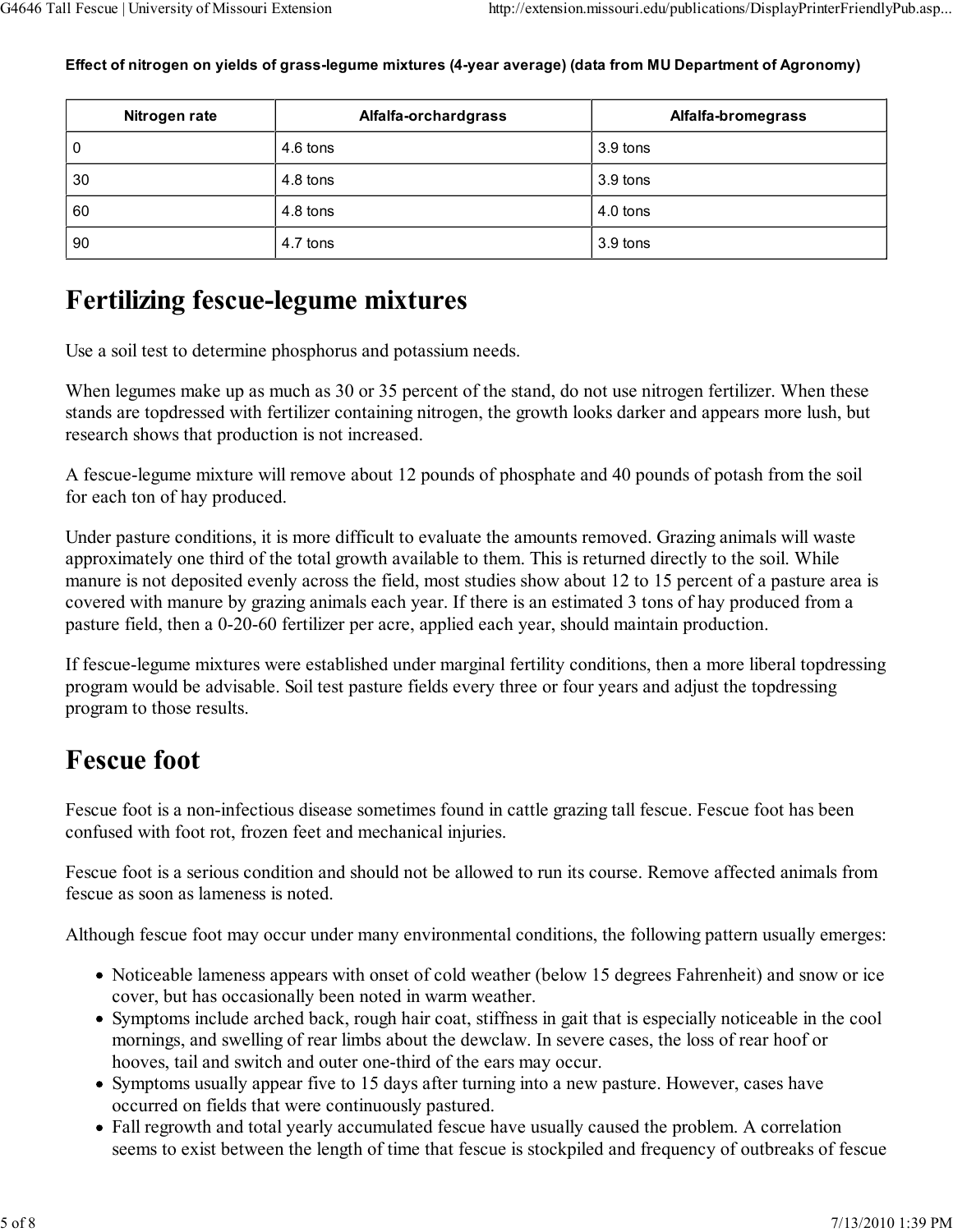| Nitrogen rate | Alfalfa-orchardgrass | Alfalfa-bromegrass |
|---------------|----------------------|--------------------|
| 0             | 4.6 tons             | 3.9 tons           |
| 30            | 4.8 tons             | 3.9 tons           |
| 60            | 4.8 tons             | 4.0 tons           |
| 90            | 4.7 tons             | 3.9 tons           |

Effect of nitrogen on yields of grass-legume mixtures (4-year average) (data from MU Department of Agronomy)

### Fertilizing fescue-legume mixtures

Use a soil test to determine phosphorus and potassium needs.

When legumes make up as much as 30 or 35 percent of the stand, do not use nitrogen fertilizer. When these stands are topdressed with fertilizer containing nitrogen, the growth looks darker and appears more lush, but research shows that production is not increased.

A fescue-legume mixture will remove about 12 pounds of phosphate and 40 pounds of potash from the soil for each ton of hay produced.

Under pasture conditions, it is more difficult to evaluate the amounts removed. Grazing animals will waste approximately one third of the total growth available to them. This is returned directly to the soil. While manure is not deposited evenly across the field, most studies show about 12 to 15 percent of a pasture area is covered with manure by grazing animals each year. If there is an estimated 3 tons of hay produced from a pasture field, then a 0-20-60 fertilizer per acre, applied each year, should maintain production.

If fescue-legume mixtures were established under marginal fertility conditions, then a more liberal topdressing program would be advisable. Soil test pasture fields every three or four years and adjust the topdressing program to those results.

# Fescue foot

Fescue foot is a non-infectious disease sometimes found in cattle grazing tall fescue. Fescue foot has been confused with foot rot, frozen feet and mechanical injuries.

Fescue foot is a serious condition and should not be allowed to run its course. Remove affected animals from fescue as soon as lameness is noted.

Although fescue foot may occur under many environmental conditions, the following pattern usually emerges:

- Noticeable lameness appears with onset of cold weather (below 15 degrees Fahrenheit) and snow or ice cover, but has occasionally been noted in warm weather.
- Symptoms include arched back, rough hair coat, stiffness in gait that is especially noticeable in the cool mornings, and swelling of rear limbs about the dewclaw. In severe cases, the loss of rear hoof or hooves, tail and switch and outer one-third of the ears may occur.
- Symptoms usually appear five to 15 days after turning into a new pasture. However, cases have occurred on fields that were continuously pastured.
- Fall regrowth and total yearly accumulated fescue have usually caused the problem. A correlation seems to exist between the length of time that fescue is stockpiled and frequency of outbreaks of fescue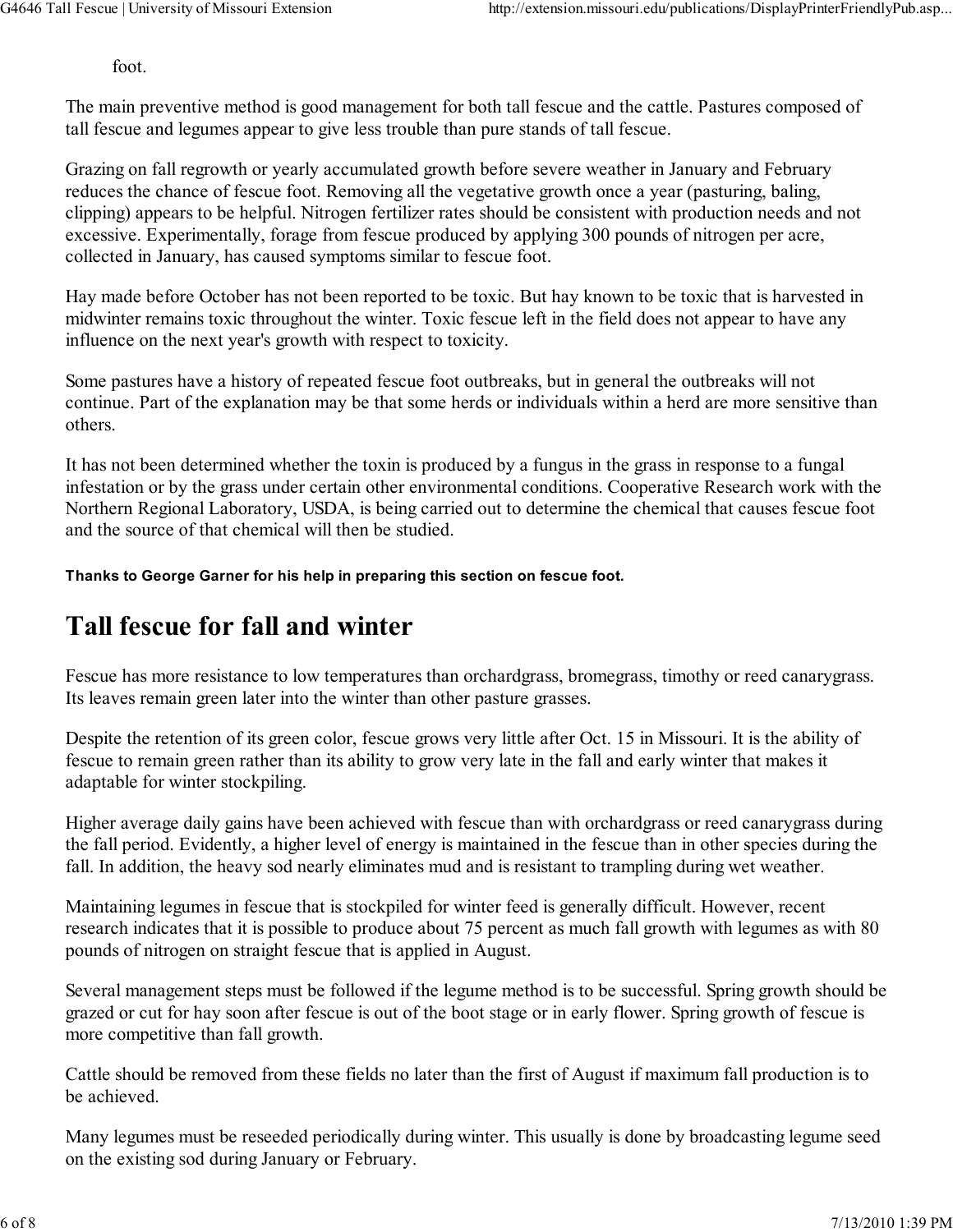foot.

The main preventive method is good management for both tall fescue and the cattle. Pastures composed of tall fescue and legumes appear to give less trouble than pure stands of tall fescue.

Grazing on fall regrowth or yearly accumulated growth before severe weather in January and February reduces the chance of fescue foot. Removing all the vegetative growth once a year (pasturing, baling, clipping) appears to be helpful. Nitrogen fertilizer rates should be consistent with production needs and not excessive. Experimentally, forage from fescue produced by applying 300 pounds of nitrogen per acre, collected in January, has caused symptoms similar to fescue foot.

Hay made before October has not been reported to be toxic. But hay known to be toxic that is harvested in midwinter remains toxic throughout the winter. Toxic fescue left in the field does not appear to have any influence on the next year's growth with respect to toxicity.

Some pastures have a history of repeated fescue foot outbreaks, but in general the outbreaks will not continue. Part of the explanation may be that some herds or individuals within a herd are more sensitive than others.

It has not been determined whether the toxin is produced by a fungus in the grass in response to a fungal infestation or by the grass under certain other environmental conditions. Cooperative Research work with the Northern Regional Laboratory, USDA, is being carried out to determine the chemical that causes fescue foot and the source of that chemical will then be studied.

Thanks to George Garner for his help in preparing this section on fescue foot.

### Tall fescue for fall and winter

Fescue has more resistance to low temperatures than orchardgrass, bromegrass, timothy or reed canarygrass. Its leaves remain green later into the winter than other pasture grasses.

Despite the retention of its green color, fescue grows very little after Oct. 15 in Missouri. It is the ability of fescue to remain green rather than its ability to grow very late in the fall and early winter that makes it adaptable for winter stockpiling.

Higher average daily gains have been achieved with fescue than with orchardgrass or reed canarygrass during the fall period. Evidently, a higher level of energy is maintained in the fescue than in other species during the fall. In addition, the heavy sod nearly eliminates mud and is resistant to trampling during wet weather.

Maintaining legumes in fescue that is stockpiled for winter feed is generally difficult. However, recent research indicates that it is possible to produce about 75 percent as much fall growth with legumes as with 80 pounds of nitrogen on straight fescue that is applied in August.

Several management steps must be followed if the legume method is to be successful. Spring growth should be grazed or cut for hay soon after fescue is out of the boot stage or in early flower. Spring growth of fescue is more competitive than fall growth.

Cattle should be removed from these fields no later than the first of August if maximum fall production is to be achieved.

Many legumes must be reseeded periodically during winter. This usually is done by broadcasting legume seed on the existing sod during January or February.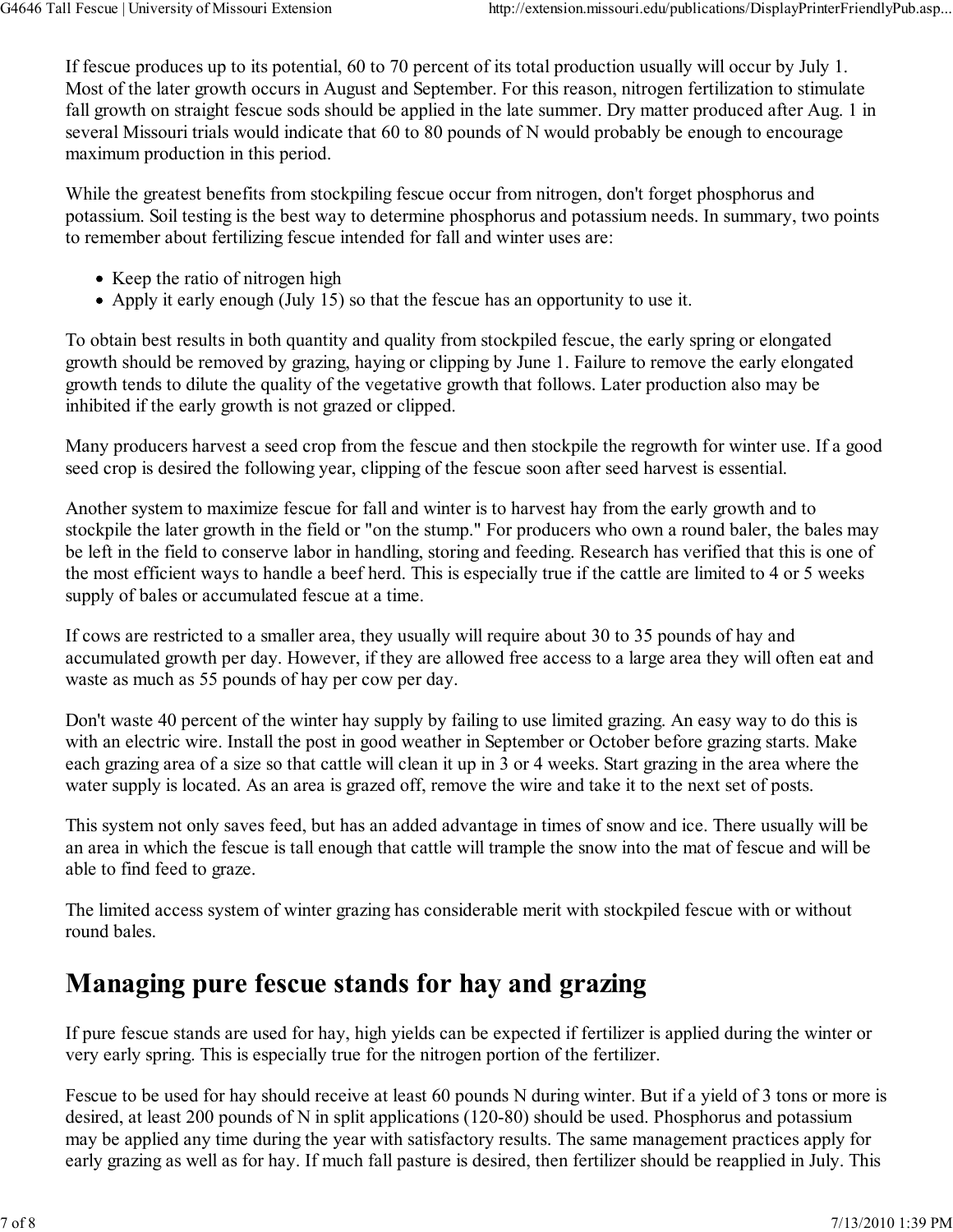If fescue produces up to its potential, 60 to 70 percent of its total production usually will occur by July 1. Most of the later growth occurs in August and September. For this reason, nitrogen fertilization to stimulate fall growth on straight fescue sods should be applied in the late summer. Dry matter produced after Aug. 1 in several Missouri trials would indicate that 60 to 80 pounds of N would probably be enough to encourage maximum production in this period.

While the greatest benefits from stockpiling fescue occur from nitrogen, don't forget phosphorus and potassium. Soil testing is the best way to determine phosphorus and potassium needs. In summary, two points to remember about fertilizing fescue intended for fall and winter uses are:

- Keep the ratio of nitrogen high
- Apply it early enough (July 15) so that the fescue has an opportunity to use it.

To obtain best results in both quantity and quality from stockpiled fescue, the early spring or elongated growth should be removed by grazing, haying or clipping by June 1. Failure to remove the early elongated growth tends to dilute the quality of the vegetative growth that follows. Later production also may be inhibited if the early growth is not grazed or clipped.

Many producers harvest a seed crop from the fescue and then stockpile the regrowth for winter use. If a good seed crop is desired the following year, clipping of the fescue soon after seed harvest is essential.

Another system to maximize fescue for fall and winter is to harvest hay from the early growth and to stockpile the later growth in the field or "on the stump." For producers who own a round baler, the bales may be left in the field to conserve labor in handling, storing and feeding. Research has verified that this is one of the most efficient ways to handle a beef herd. This is especially true if the cattle are limited to 4 or 5 weeks supply of bales or accumulated fescue at a time.

If cows are restricted to a smaller area, they usually will require about 30 to 35 pounds of hay and accumulated growth per day. However, if they are allowed free access to a large area they will often eat and waste as much as 55 pounds of hay per cow per day.

Don't waste 40 percent of the winter hay supply by failing to use limited grazing. An easy way to do this is with an electric wire. Install the post in good weather in September or October before grazing starts. Make each grazing area of a size so that cattle will clean it up in 3 or 4 weeks. Start grazing in the area where the water supply is located. As an area is grazed off, remove the wire and take it to the next set of posts.

This system not only saves feed, but has an added advantage in times of snow and ice. There usually will be an area in which the fescue is tall enough that cattle will trample the snow into the mat of fescue and will be able to find feed to graze.

The limited access system of winter grazing has considerable merit with stockpiled fescue with or without round bales.

# Managing pure fescue stands for hay and grazing

If pure fescue stands are used for hay, high yields can be expected if fertilizer is applied during the winter or very early spring. This is especially true for the nitrogen portion of the fertilizer.

Fescue to be used for hay should receive at least 60 pounds N during winter. But if a yield of 3 tons or more is desired, at least 200 pounds of N in split applications (120-80) should be used. Phosphorus and potassium may be applied any time during the year with satisfactory results. The same management practices apply for early grazing as well as for hay. If much fall pasture is desired, then fertilizer should be reapplied in July. This